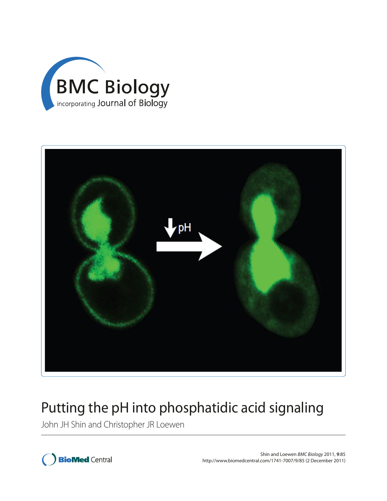



# Putting the pH into phosphatidic acid signaling

John JH Shin and Christopher JR Loewen

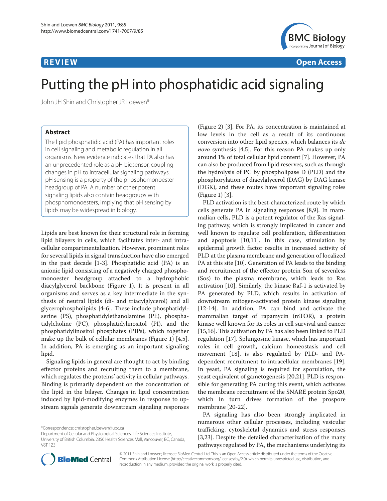

**R E V I E W Open Access**

# Putting the pH into phosphatidic acid signaling

John JH Shin and Christopher JR Loewen\*

# **Abstract**

The lipid phosphatidic acid (PA) has important roles in cell signaling and metabolic regulation in all organisms. New evidence indicates that PA also has an unprecedented role as a pH biosensor, coupling changes in pH to intracellular signaling pathways. pH sensing is a property of the phosphomonoester headgroup of PA. A number of other potent signaling lipids also contain headgroups with phosphomonoesters, implying that pH sensing by lipids may be widespread in biology.

Lipids are best known for their structural role in forming lipid bilayers in cells, which facilitates inter- and intracellular compartmentalization. However, prominent roles for several lipids in signal transduction have also emerged in the past decade [1-3]. Phosphatidic acid (PA) is an anionic lipid consisting of a negatively charged phosphomonoester headgroup attached to a hydrophobic diacylglycerol backbone (Figure 1). It is present in all organisms and serves as a key intermediate in the synthesis of neutral lipids (di- and triacylglycerol) and all glycerophospholipids [4-6]. These include phosphatidylserine (PS), phosphatidylethanolamine (PE), phosphatidylcholine (PC), phosphatidylinositol (PI), and the phosphatidylinositol phosphates (PIPs), which together make up the bulk of cellular membranes (Figure 1) [4,5]. In addition, PA is emerging as an important signaling lipid.

Signaling lipids in general are thought to act by binding effector proteins and recruiting them to a membrane, which regulates the proteins' activity in cellular pathways. Binding is primarily dependent on the concentration of the lipid in the bilayer. Changes in lipid concentration induced by lipid-modifying enzymes in response to upstream signals generate downstream signaling responses

\*Correspondence: christopher.loewen@ubc.ca

University of British Columbia, 2350 Health Sciences Mall, Vancouver, BC, Canada, V6T 1Z3



PLD activation is the best-characterized route by which cells generate PA in signaling responses [8,9]. In mammalian cells, PLD is a potent regulator of the Ras signaling pathway, which is strongly implicated in cancer and well known to regulate cell proliferation, differentiation and apoptosis [10,11]. In this case, stimulation by epidermal growth factor results in increased activity of PLD at the plasma membrane and generation of localized PA at this site [10]. Generation of PA leads to the binding and recruitment of the effector protein Son of sevenless (Sos) to the plasma membrane, which leads to Ras activation [10]. Similarly, the kinase Raf-1 is activated by PA generated by PLD, which results in activation of downstream mitogen-activated protein kinase signaling [12-14]. In addition, PA can bind and activate the mammalian target of rapamycin (mTOR), a protein kinase well known for its roles in cell survival and cancer [15,16]. This activation by PA has also been linked to PLD regulation [17]. Sphingosine kinase, which has important roles in cell growth, calcium homeostasis and cell movement [18], is also regulated by PLD- and PAdependent recruitment to intracellular membranes [19]. In yeast, PA signaling is required for sporulation, the yeast equivalent of gametogenesis [20,21]. PLD is responsible for generating PA during this event, which activates the membrane recruitment of the SNARE protein Spo20, which in turn drives formation of the prospore membrane [20-22].

PA signaling has also been strongly implicated in numerous other cellular processes, including vesicular trafficking, cytoskeletal dynamics and stress responses [3,23]. Despite the detailed characterization of the many pathways regulated by PA, the mechanisms underlying its



© 2011 Shin and Loewen; licensee BioMed Central Ltd. This is an Open Access article distributed under the terms of the Creative Commons Attribution License (http://creativecommons.org/licenses/by/2.0), which permits unrestricted use, distribution, and reproduction in any medium, provided the original work is properly cited.

Department of Cellular and Physiological Sciences, Life Sciences Institute,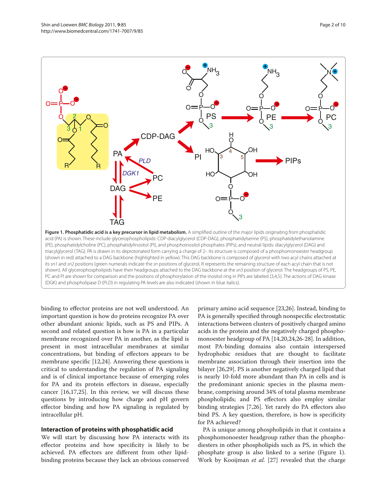



binding to effector proteins are not well understood. An important question is how do proteins recognize PA over other abundant anionic lipids, such as PS and PIPs. A second and related question is how is PA in a particular membrane recognized over PA in another, as the lipid is present in most intracellular membranes at similar concentrations, but binding of effectors appears to be membrane specific [12,24]. Answering these questions is critical to understanding the regulation of PA signaling and is of clinical importance because of emerging roles for PA and its protein effectors in disease, especially cancer [16,17,25]. In this review, we will discuss these questions by introducing how charge and pH govern effector binding and how PA signaling is regulated by intracellular pH.

### **Interaction of proteins with phosphatidic acid**

We will start by discussing how PA interacts with its effector proteins and how specificity is likely to be achieved. PA effectors are different from other lipidbinding proteins because they lack an obvious conserved

primary amino acid sequence [23,26]. Instead, binding to PA is generally specified through nonspecific electrostatic interactions between clusters of positively charged amino acids in the protein and the negatively charged phosphomonoester headgroup of PA [14,20,24,26-28]. In addition, most PA-binding domains also contain interspersed hydrophobic residues that are thought to facilitate membrane association through their insertion into the bilayer [26,29]. PS is another negatively charged lipid that is nearly 10-fold more abundant than PA in cells and is the predominant anionic species in the plasma membrane, comprising around 34% of total plasma membrane phospholipids; and PS effectors also employ similar binding strategies [7,26]. Yet rarely do PA effectors also bind PS. A key question, therefore, is how is specificity for PA achieved?

PA is unique among phospholipids in that it contains a phosphomonoester headgroup rather than the phosphodiesters in other phospholipids such as PS, in which the phosphate group is also linked to a serine (Figure 1). Work by Kooijman *et al.* [27] revealed that the charge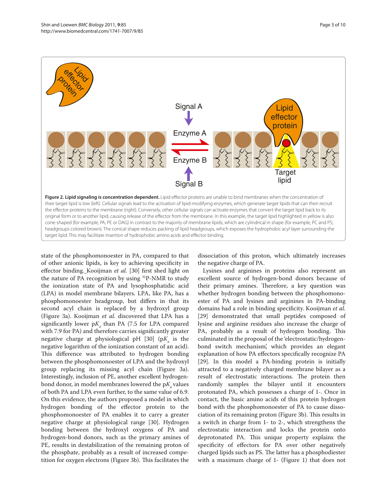

state of the phosphomonoester in PA, compared to that of other anionic lipids, is key to achieving specificity in effector binding. Kooijman *et al.* [30] first shed light on the nature of PA recognition by using 31P-NMR to study the ionization state of PA and lysophosphatidic acid (LPA) in model membrane bilayers. LPA, like PA, has a phosphomonoester headgroup, but differs in that its second acyl chain is replaced by a hydroxyl group (Figure 3a). Kooijman *et al.* discovered that LPA has a significantly lower  $pK_a$  than PA (7.5 for LPA compared with 7.9 for PA) and therefore carries significantly greater negative charge at physiological pH  $[30]$  (p $K_a$  is the negative logarithm of the ionization constant of an acid). This difference was attributed to hydrogen bonding between the phosphomonoester of LPA and the hydroxyl group replacing its missing acyl chain (Figure 3a). Interestingly, inclusion of PE, another excellent hydrogenbond donor, in model membranes lowered the  $pK_{a}$  values of both PA and LPA even further, to the same value of 6.9. On this evidence, the authors proposed a model in which hydrogen bonding of the effector protein to the phosphomonoester of PA enables it to carry a greater negative charge at physiological range [30]. Hydrogen bonding between the hydroxyl oxygens of PA and hydrogen-bond donors, such as the primary amines of PE, results in destabilization of the remaining proton of the phosphate, probably as a result of increased competition for oxygen electrons (Figure 3b). This facilitates the

dissociation of this proton, which ultimately increases the negative charge of PA.

Lysines and arginines in proteins also represent an excellent source of hydrogen-bond donors because of their primary amines. Therefore, a key question was whether hydrogen bonding between the phosphomonoester of PA and lysines and arginines in PA-binding domains had a role in binding specificity. Kooijman *et al.* [29] demonstrated that small peptides composed of lysine and arginine residues also increase the charge of PA, probably as a result of hydrogen bonding. This culminated in the proposal of the 'electrostatic/hydrogenbond switch mechanism', which provides an elegant explanation of how PA effectors specifically recognize PA [29]. In this model a PA-binding protein is initially attracted to a negatively charged membrane bilayer as a result of electrostatic interactions. The protein then randomly samples the bilayer until it encounters protonated PA, which possesses a charge of 1-. Once in contact, the basic amino acids of this protein hydrogen bond with the phosphomonoester of PA to cause dissociation of its remaining proton (Figure 3b). This results in a switch in charge from 1- to 2-, which strengthens the electrostatic interaction and locks the protein onto deprotonated PA. This unique property explains the specificity of effectors for PA over other negatively charged lipids such as PS. The latter has a phosphodiester with a maximum charge of 1- (Figure 1) that does not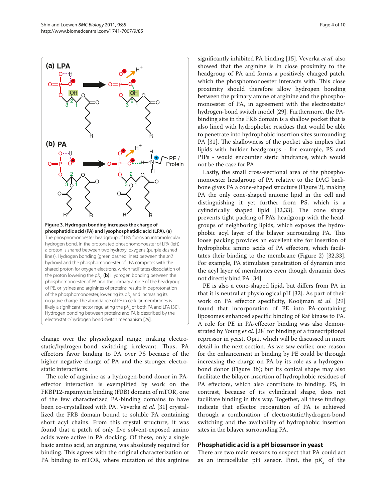change over the physiological range, making electrostatic/hydrogen-bond switching irrelevant. Thus, PA effectors favor binding to PA over PS because of the higher negative charge of PA and the stronger electrostatic interactions.

The role of arginine as a hydrogen-bond donor in PAeffector interaction is exemplified by work on the FKBP12-rapamycin binding (FRB) domain of mTOR, one of the few characterized PA-binding domains to have been co-crystallized with PA. Veverka *et al.* [31] crystallized the FRB domain bound to soluble PA containing short acyl chains. From this crystal structure, it was found that a patch of only five solvent-exposed amino acids were active in PA docking. Of these, only a single basic amino acid, an arginine, was absolutely required for binding. This agrees with the original characterization of PA binding to mTOR, where mutation of this arginine

significantly inhibited PA binding [15]. Veverka *et al.* also showed that the arginine is in close proximity to the headgroup of PA and forms a positively charged patch, which the phosphomonoester interacts with. This close proximity should therefore allow hydrogen bonding between the primary amine of arginine and the phosphomonoester of PA, in agreement with the electrostatic/ hydrogen-bond switch model [29]. Furthermore, the PAbinding site in the FRB domain is a shallow pocket that is also lined with hydrophobic residues that would be able to penetrate into hydrophobic insertion sites surrounding PA [31]. The shallowness of the pocket also implies that lipids with bulkier headgroups - for example, PS and PIPs - would encounter steric hindrance, which would not be the case for PA.

Lastly, the small cross-sectional area of the phosphomonoester headgroup of PA relative to the DAG backbone gives PA a cone-shaped structure (Figure 2), making PA the only cone-shaped anionic lipid in the cell and distinguishing it yet further from PS, which is a cylindrically shaped lipid [32,33]. The cone shape prevents tight packing of PA's headgroup with the headgroups of neighboring lipids, which exposes the hydrophobic acyl layer of the bilayer surrounding PA. This loose packing provides an excellent site for insertion of hydrophobic amino acids of PA effectors, which facilitates their binding to the membrane (Figure 2) [32,33]. For example, PA stimulates penetration of dynamin into the acyl layer of membranes even though dynamin does not directly bind PA [34].

PE is also a cone-shaped lipid, but differs from PA in that it is neutral at physiological pH [32]. As part of their work on PA effector specificity, Kooijman *et al.* [29] found that incorporation of PE into PA-containing liposomes enhanced specific binding of Raf kinase to PA. A role for PE in PA-effector binding was also demonstrated by Young *et al.* [28] for binding of a transcriptional repressor in yeast, Opi1, which will be discussed in more detail in the next section. As we saw earlier, one reason for the enhancement in binding by PE could be through increasing the charge on PA by its role as a hydrogenbond donor (Figure 3b); but its conical shape may also facilitate the bilayer-insertion of hydrophobic residues of PA effectors, which also contribute to binding. PS, in contrast, because of its cylindrical shape, does not facilitate binding in this way. Together, all these findings indicate that effector recognition of PA is achieved through a combination of electrostatic/hydrogen-bond switching and the availability of hydrophobic insertion sites in the bilayer surrounding PA.

### **Phosphatidic acid is a pH biosensor in yeast**

There are two main reasons to suspect that PA could act as an intracellular  $pH$  sensor. First, the  $pK_a$  of the

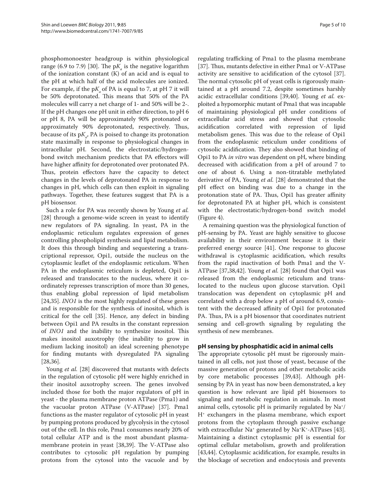phosphomonoester headgroup is within physiological range (6.9 to 7.9) [30]. The  $pK_a$  is the negative logarithm of the ionization constant (K) of an acid and is equal to the pH at which half of the acid molecules are ionized. For example, if the  $pK_a$  of PA is equal to 7, at  $pH$  7 it will be 50% deprotonated. This means that 50% of the PA molecules will carry a net charge of 1- and 50% will be 2-. If the pH changes one pH unit in either direction, to pH 6 or pH 8, PA will be approximately 90% protonated or approximately 90% deprotonated, respectively. Thus, because of its  $pK_a$ , PA is poised to change its protonation state maximally in response to physiological changes in intracellular pH. Second, the electrostatic/hydrogenbond switch mechanism predicts that PA effectors will have higher affinity for deprotonated over protonated PA. Thus, protein effectors have the capacity to detect changes in the levels of deprotonated PA in response to changes in pH, which cells can then exploit in signaling pathways. Together, these features suggest that PA is a pH biosensor.

Such a role for PA was recently shown by Young *et al.* [28] through a genome-wide screen in yeast to identify new regulators of PA signaling. In yeast, PA in the endoplasmic reticulum regulates expression of genes controlling phospholipid synthesis and lipid metabolism. It does this through binding and sequestering a transcriptional repressor, Opi1, outside the nucleus on the cytoplasmic leaflet of the endoplasmic reticulum. When PA in the endoplasmic reticulum is depleted, Opi1 is released and translocates to the nucleus, where it coordinately represses transcription of more than 30 genes, thus enabling global repression of lipid metabolism [24,35]. *INO1* is the most highly regulated of these genes and is responsible for the synthesis of inositol, which is critical for the cell [35]. Hence, any defect in binding between Opi1 and PA results in the constant repression of *INO1* and the inability to synthesize inositol. This makes inositol auxotrophy (the inability to grow in medium lacking inositol) an ideal screening phenotype for finding mutants with dysregulated PA signaling [28,36].

Young *et al.* [28] discovered that mutants with defects in the regulation of cytosolic pH were highly enriched in their inositol auxotrophy screen. The genes involved included those for both the major regulators of pH in yeast - the plasma membrane proton ATPase (Pma1) and the vacuolar proton ATPase (V-ATPase) [37]. Pma1 functions as the master regulator of cytosolic pH in yeast by pumping protons produced by glycolysis in the cytosol out of the cell. In this role, Pma1 consumes nearly 20% of total cellular ATP and is the most abundant plasmamembrane protein in yeast [38,39]. The V-ATPase also contributes to cytosolic pH regulation by pumping protons from the cytosol into the vacuole and by

regulating trafficking of Pma1 to the plasma membrane [37]. Thus, mutants defective in either Pma1 or V-ATPase activity are sensitive to acidification of the cytosol [37]. The normal cytosolic pH of yeast cells is rigorously maintained at a pH around 7.2, despite sometimes harshly acidic extracellular conditions [39,40]. Young *et al.* exploited a hypomorphic mutant of Pma1 that was incapable of maintaining physiological pH under conditions of extracellular acid stress and showed that cytosolic acidification correlated with repression of lipid metabolism genes. This was due to the release of Opi1 from the endoplasmic reticulum under conditions of cytosolic acidification. They also showed that binding of Opi1 to PA *in vitro* was dependent on pH, where binding decreased with acidification from a pH of around 7 to one of about 6. Using a non-titratable methylated derivative of PA, Young *et al.* [28] demonstrated that the pH effect on binding was due to a change in the protonation state of PA. Thus, Opi1 has greater affinity for deprotonated PA at higher pH, which is consistent with the electrostatic/hydrogen-bond switch model (Figure 4).

A remaining question was the physiological function of pH-sensing by PA. Yeast are highly sensitive to glucose availability in their environment because it is their preferred energy source [41]. One response to glucose withdrawal is cytoplasmic acidification, which results from the rapid inactivation of both Pma1 and the V-ATPase [37,38,42]. Young *et al.* [28] found that Opi1 was released from the endoplasmic reticulum and translocated to the nucleus upon glucose starvation. Opi1 translocation was dependent on cytoplasmic pH and correlated with a drop below a pH of around 6.9, consistent with the decreased affinity of Opi1 for protonated PA. Thus, PA is a pH biosensor that coordinates nutrient sensing and cell-growth signaling by regulating the synthesis of new membranes.

# **pH sensing by phosphatidic acid in animal cells**

The appropriate cytosolic pH must be rigorously maintained in all cells, not just those of yeast, because of the massive generation of protons and other metabolic acids by core metabolic processes [39,43]. Although pHsensing by PA in yeast has now been demonstrated, a key question is how relevant are lipid pH biosensors to signaling and metabolic regulation in animals. In most animal cells, cytosolic pH is primarily regulated by Na+/ H+ exchangers in the plasma membrane, which export protons from the cytoplasm through passive exchange with extracellular Na<sup>+</sup> generated by Na<sup>+</sup>K<sup>+</sup>-ATPases [43]. Maintaining a distinct cytoplasmic pH is essential for optimal cellular metabolism, growth and proliferation [43,44]. Cytoplasmic acidification, for example, results in the blockage of secretion and endocytosis and prevents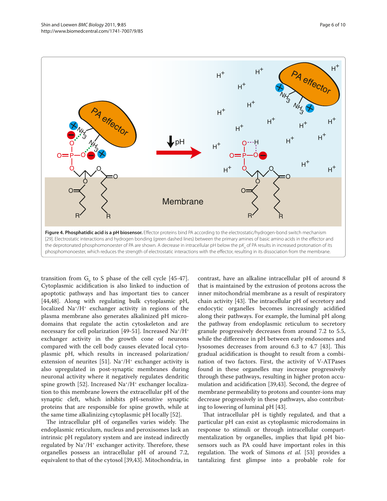

transition from  $G_0$  to S phase of the cell cycle [45-47]. Cytoplasmic acidification is also linked to induction of apoptotic pathways and has important ties to cancer [44,48]. Along with regulating bulk cytoplasmic pH, localized  $Na^*/H^+$  exchanger activity in regions of the plasma membrane also generates alkalinized pH microdomains that regulate the actin cytoskeleton and are necessary for cell polarization [49-51]. Increased Na+/H+ exchanger activity in the growth cone of neurons compared with the cell body causes elevated local cytoplasmic pH, which results in increased polarization/ extension of neurites [51]. Na+/H+ exchanger activity is also upregulated in post-synaptic membranes during neuronal activity where it negatively regulates dendritic spine growth [52]. Increased  $Na^+/H^+$  exchanger localization to this membrane lowers the extracellular pH of the synaptic cleft, which inhibits pH-sensitive synaptic proteins that are responsible for spine growth, while at the same time alkalinizing cytoplasmic pH locally [52].

The intracellular pH of organelles varies widely. The endoplasmic reticulum, nucleus and peroxisomes lack an intrinsic pH regulatory system and are instead indirectly regulated by  $\text{Na}^+/\text{H}^+$  exchanger activity. Therefore, these organelles possess an intracellular pH of around 7.2, equivalent to that of the cytosol [39,43]. Mitochondria, in

contrast, have an alkaline intracellular pH of around 8 that is maintained by the extrusion of protons across the inner mitochondrial membrane as a result of respiratory chain activity [43]. The intracellular pH of secretory and endocytic organelles becomes increasingly acidified along their pathways. For example, the luminal pH along the pathway from endoplasmic reticulum to secretory granule progressively decreases from around 7.2 to 5.5, while the difference in pH between early endosomes and lysosomes decreases from around 6.3 to 4.7 [43]. This gradual acidification is thought to result from a combination of two factors. First, the activity of V-ATPases found in these organelles may increase progressively through these pathways, resulting in higher proton accumulation and acidification [39,43]. Second, the degree of membrane permeability to protons and counter-ions may decrease progressively in these pathways, also contributing to lowering of luminal pH [43].

That intracellular pH is tightly regulated, and that a particular pH can exist as cytoplasmic microdomains in response to stimuli or through intracellular compartmentalization by organelles, implies that lipid pH biosensors such as PA could have important roles in this regulation. The work of Simons *et al.* [53] provides a tantalizing first glimpse into a probable role for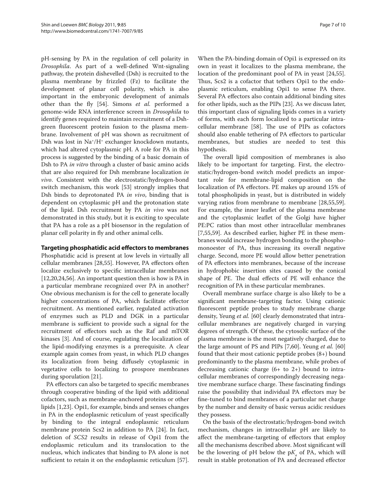pH-sensing by PA in the regulation of cell polarity in *Drosophila*. As part of a well-defined Wnt-signaling pathway, the protein dishevelled (Dsh) is recruited to the plasma membrane by frizzled (Fz) to facilitate the development of planar cell polarity, which is also important in the embryonic development of animals other than the fly [54]. Simons *et al.* performed a genome-wide RNA interference screen in *Drosophila* to identify genes required to maintain recruitment of a Dshgreen fluorescent protein fusion to the plasma membrane. Involvement of pH was shown as recruitment of Dsh was lost in Na<sup>+</sup>/H<sup>+</sup> exchanger knockdown mutants, which had altered cytoplasmic pH. A role for PA in this process is suggested by the binding of a basic domain of Dsh to PA *in vitro* through a cluster of basic amino acids that are also required for Dsh membrane localization *in vivo*. Consistent with the electrostatic/hydrogen-bond switch mechanism, this work [53] strongly implies that Dsh binds to deprotonated PA *in vivo*, binding that is dependent on cytoplasmic pH and the protonation state of the lipid. Dsh recruitment by PA *in vivo* was not demonstrated in this study, but it is exciting to speculate that PA has a role as a pH biosensor in the regulation of planar cell polarity in fly and other animal cells.

### **Targeting phosphatidic acid effectors to membranes**

Phosphatidic acid is present at low levels in virtually all cellular membranes [28,55]. However, PA effectors often localize exclusively to specific intracellular membranes [12,20,24,56]. An important question then is how is PA in a particular membrane recognized over PA in another? One obvious mechanism is for the cell to generate locally higher concentrations of PA, which facilitate effector recruitment. As mentioned earlier, regulated activation of enzymes such as PLD and DGK in a particular membrane is sufficient to provide such a signal for the recruitment of effectors such as the Raf and mTOR kinases [3]. And of course, regulating the localization of the lipid-modifying enzymes is a prerequisite. A clear example again comes from yeast, in which PLD changes its localization from being diffusely cytoplasmic in vegetative cells to localizing to prospore membranes during sporulation [21].

PA effectors can also be targeted to specific membranes through cooperative binding of the lipid with additional cofactors, such as membrane-anchored proteins or other lipids [1,23]. Opi1, for example, binds and senses changes in PA in the endoplasmic reticulum of yeast specifically by binding to the integral endoplasmic reticulum membrane protein Scs2 in addition to PA [24]. In fact, deletion of *SCS2* results in release of Opi1 from the endoplasmic reticulum and its translocation to the nucleus, which indicates that binding to PA alone is not sufficient to retain it on the endoplasmic reticulum [57].

When the PA-binding domain of Opi1 is expressed on its own in yeast it localizes to the plasma membrane, the location of the predominant pool of PA in yeast [24,55]. Thus, Scs2 is a cofactor that tethers Opi1 to the endoplasmic reticulum, enabling Opi1 to sense PA there. Several PA effectors also contain additional binding sites for other lipids, such as the PIPs [23]. As we discuss later, this important class of signaling lipids comes in a variety of forms, with each form localized to a particular intracellular membrane [58]. The use of PIPs as cofactors should also enable tethering of PA effectors to particular membranes, but studies are needed to test this hypothesis.

The overall lipid composition of membranes is also likely to be important for targeting. First, the electrostatic/hydrogen-bond switch model predicts an important role for membrane-lipid composition on the localization of PA effectors. PE makes up around 15% of total phospholipids in yeast, but is distributed in widely varying ratios from membrane to membrane [28,55,59]. For example, the inner leaflet of the plasma membrane and the cytoplasmic leaflet of the Golgi have higher PE:PC ratios than most other intracellular membranes [7,55,59]. As described earlier, higher PE in these membranes would increase hydrogen bonding to the phosphomonoester of PA, thus increasing its overall negative charge. Second, more PE would allow better penetration of PA effectors into membranes, because of the increase in hydrophobic insertion sites caused by the conical shape of PE. The dual effects of PE will enhance the recognition of PA in these particular membranes.

Overall membrane surface charge is also likely to be a significant membrane-targeting factor. Using cationic fluorescent peptide probes to study membrane charge density, Yeung *et al.* [60] clearly demonstrated that intracellular membranes are negatively charged in varying degrees of strength. Of these, the cytosolic surface of the plasma membrane is the most negatively charged, due to the large amount of PS and PIPs [7,60]. Yeung *et al.* [60] found that their most cationic peptide probes (8+) bound predominantly to the plasma membrane, while probes of decreasing cationic charge (6+ to 2+) bound to intracellular membranes of correspondingly decreasing negative membrane surface charge. These fascinating findings raise the possibility that individual PA effectors may be fine-tuned to bind membranes of a particular net charge by the number and density of basic versus acidic residues they possess.

On the basis of the electrostatic/hydrogen-bond switch mechanism, changes in intracellular pH are likely to affect the membrane-targeting of effectors that employ all the mechanisms described above. Most significant will be the lowering of pH below the  $pK_a$  of PA, which will result in stable protonation of PA and decreased effector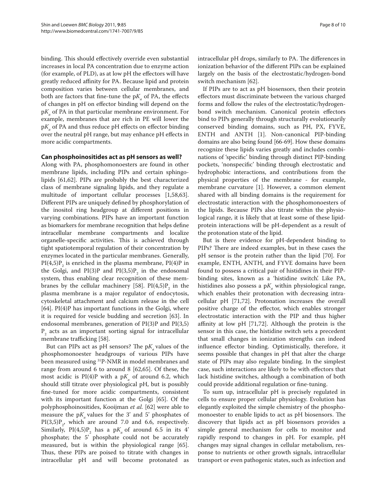binding. This should effectively override even substantial increases in local PA concentration due to enzyme action (for example, of PLD), as at low pH the effectors will have greatly reduced affinity for PA. Because lipid and protein composition varies between cellular membranes, and both are factors that fine-tune the  $pK_a$  of PA, the effects of changes in pH on effector binding will depend on the p*Ka* of PA in that particular membrane environment. For example, membranes that are rich in PE will lower the p*Ka* of PA and thus reduce pH effects on effector binding over the neutral pH range, but may enhance pH effects in more acidic compartments.

#### **Can phosphoinositides act as pH sensors as well?**

Along with PA, phosphomonoesters are found in other membrane lipids, including PIPs and certain sphingolipids [61,62]. PIPs are probably the best characterized class of membrane signaling lipids, and they regulate a multitude of important cellular processes [1,58,63]. Different PIPs are uniquely defined by phosphorylation of the inositol ring headgroup at different positions in varying combinations. PIPs have an important function as biomarkers for membrane recognition that helps define intracellular membrane compartments and localize organelle-specific activities. This is achieved through tight spatiotemporal regulation of their concentration by enzymes located in the particular membranes. Generally,  $PI(4,5)P_2$  is enriched in the plasma membrane,  $PI(4)P$  in the Golgi, and  $PI(3)P$  and  $PI(3,5)P<sub>2</sub>$  in the endosomal system, thus enabling clear recognition of these membranes by the cellular machinery [58].  $PI(4,5)P_2$  in the plasma membrane is a major regulator of endocytosis, cytoskeletal attachment and calcium release in the cell [64]. PI(4)P has important functions in the Golgi, where it is required for vesicle budding and secretion [63]. In endosomal membranes, generation of PI(3)P and PI(3,5)  $P_2$  acts as an important sorting signal for intracellular membrane trafficking [58].

But can PIPs act as  $pH$  sensors? The  $pK_{a}$  values of the phosphomonoester headgroups of various PIPs have been measured using 31P-NMR in model membranes and range from around 6 to around 8 [62,65]. Of these, the most acidic is  $PI(4)P$  with a  $pK_a$  of around 6.2, which should still titrate over physiological pH, but is possibly fine-tuned for more acidic compartments, consistent with its important function at the Golgi [65]. Of the polyphosphoinositides, Kooijman *et al.* [62] were able to measure the  $pK_a$  values for the 3' and 5' phosphates of  $PI(3.5)P_2$ , which are around 7.0 and 6.6, respectively. Similarly,  $PI(4,5)P_2$  has a p $K_a$  of around 6.5 in its 4<sup>'</sup> phosphate; the 5' phosphate could not be accurately measured, but is within the physiological range [65]. Thus, these PIPs are poised to titrate with changes in intracellular pH and will become protonated as

intracellular pH drops, similarly to PA. The differences in ionization behavior of the different PIPs can be explained largely on the basis of the electrostatic/hydrogen-bond switch mechanism [62].

If PIPs are to act as pH biosensors, then their protein effectors must discriminate between the various charged forms and follow the rules of the electrostatic/hydrogenbond switch mechanism. Canonical protein effectors bind to PIPs generally through structurally evolutionarily conserved binding domains, such as PH, PX, FYVE, ENTH and ANTH [1]. Non-canonical PIP-binding domains are also being found [66-69]. How these domains recognize these lipids varies greatly and includes combinations of 'specific' binding through distinct PIP-binding pockets, 'nonspecific' binding through electrostatic and hydrophobic interactions, and contributions from the physical properties of the membrane - for example, membrane curvature [1]. However, a common element shared with all binding domains is the requirement for electrostatic interaction with the phosphomonoesters of the lipids. Because PIPs also titrate within the physiological range, it is likely that at least some of these lipidprotein interactions will be pH-dependent as a result of the protonation state of the lipid.

But is there evidence for pH-dependent binding to PIPs? There are indeed examples, but in these cases the pH sensor is the protein rather than the lipid [70]. For example, ENTH, ANTH, and FYVE domains have been found to possess a critical pair of histidines in their PIPbinding sites, known as a 'histidine switch'. Like PA, histidines also possess a  $pK_a$  within physiological range, which enables their protonation with decreasing intracellular pH [71,72]. Protonation increases the overall positive charge of the effector, which enables stronger electrostatic interaction with the PIP and thus higher affinity at low pH [71,72]. Although the protein is the sensor in this case, the histidine switch sets a precedent that small changes in ionization strengths can indeed influence effector binding. Optimistically, therefore, it seems possible that changes in pH that alter the charge state of PIPs may also regulate binding. In the simplest case, such interactions are likely to be with effectors that lack histidine switches, although a combination of both could provide additional regulation or fine-tuning.

To sum up, intracellular pH is precisely regulated in cells to ensure proper cellular physiology. Evolution has elegantly exploited the simple chemistry of the phosphomonoester to enable lipids to act as pH biosensors. The discovery that lipids act as pH biosensors provides a simple general mechanism for cells to monitor and rapidly respond to changes in pH. For example, pH changes may signal changes in cellular metabolism, response to nutrients or other growth signals, intracellular transport or even pathogenic states, such as infection and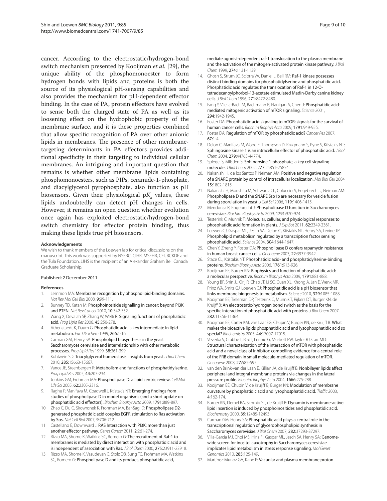cancer. According to the electrostatic/hydrogen-bond switch mechanism presented by Kooijman *et al.* [29], the unique ability of the phosphomonoester to form hydrogen bonds with lipids and proteins is both the source of its physiological pH-sensing capabilities and also provides the mechanism for pH-dependent effector binding. In the case of PA, protein effectors have evolved to sense both the charged state of PA as well as its loosening effect on the hydrophobic property of the membrane surface, and it is these properties combined that allow specific recognition of PA over other anionic lipids in membranes. The presence of other membranetargeting determinants in PA effectors provides additional specificity in their targeting to individual cellular membranes. An intriguing and important question that remains is whether other membrane lipids containing phosphomonoesters, such as PIPs, ceramide-1-phosphate, and diacylglycerol pyrophosphate, also function as pH biosensors. Given their physiological  $pK_a$  values, these lipids undoubtedly can detect pH changes in cells. However, it remains an open question whether evolution once again has exploited electrostatic/hydrogen-bond switch chemistry for effector protein binding, thus making these lipids true pH biosensors.

#### **Acknowledgements**

We wish to thank members of the Loewen lab for critical discussions on the manuscript. This work was supported by NSERC, CIHR, MSFHR, CFI, BCKDF and the Tula Foundation. JJHS is the recipient of an Alexander Graham Bell Canada Graduate Scholarship.

#### Published: 2 December 2011

#### **References**

- Lemmon MA: Membrane recognition by phospholipid-binding domains. *Nat Rev Mol Cell Biol* 2008, 9:99-111.
- 2. Bunney TD, Katan M: Phosphoinositide signalling in cancer: beyond PI3K and PTEN. *Nat Rev Cancer* 2010, 10:342-352.
- 3. Wang X, Devaiah SP, Zhang W, Welti R: Signaling functions of phosphatidic acid. *Prog Lipid Res* 2006, 45:250-278.
- 4. Athenstaedt K, Daum G: Phosphatidic acid, a key intermediate in lipid metabolism. *Eur J Biochem* 1999, 266:1-16.
- 5. Carman GM, Henry SA: Phospholipid biosynthesis in the yeast Saccharomyces cerevisiae and interrelationship with other metabolic processes. *Prog Lipid Res* 1999, 38:361-399.
- 6. Kohlwein SD: Triacylglycerol homeostasis: insights from yeast. *J Biol Chem*  2010, 285:15663-15667.
- 7. Vance JE, Steenbergen R: Metabolism and functions of phosphatidylserine. *Prog Lipid Res* 2005, 44:207-234.
- 8. Jenkins GM, Frohman MA: Phospholipase D: a lipid centric review. *Cell Mol Life Sci* 2005, 62:2305-2316.
- 9. Raghu P, Manifava M, Coadwell J, Ktistakis NT: Emerging findings from studies of phospholipase D in model organisms (and a short update on phosphatidic acid effectors). *Biochim Biophys Acta* 2009, 1791:889-897.
- 10. Zhao C, Du G, Skowronek K, Frohman MA, Bar-Sagi D: Phospholipase D2 generated phosphatidic acid couples EGFR stimulation to Ras activation by Sos. *Nat Cell Biol* 2007, 9:706-712.
- 11. Castellano E, Downward J: RAS Interaction with PI3K: more than just another effector pathway. *Genes Cancer* 2011, 2:261-274.
- 12. Rizzo MA, Shome K, Watkins SC, Romero G: The recruitment of Raf-1 to membranes is mediated by direct interaction with phosphatidic acid and is independent of association with Ras. *J Biol Chem* 2000, 275:23911-23918.
- 13. Rizzo MA, Shome K, Vasudevan C, Stolz DB, Sung TC, Frohman MA, Watkins SC, Romero G: Phospholipase D and its product, phosphatidic acid,

mediate agonist-dependent raf-1 translocation to the plasma membrane and the activation of the mitogen-activated protein kinase pathway. *J Biol Chem* 1999, 274:1131-1139.

- 14. Ghosh S, Strum JC, Sciorra VA, Daniel L, Bell RM: Raf-1 kinase possesses distinct binding domains for phosphatidylserine and phosphatidic acid. Phosphatidic acid regulates the translocation of Raf-1 in 12-Otetradecanoylphorbol-13-acetate-stimulated Madin-Darby canine kidney cells. *J Biol Chem* 1996, 271:8472-8480.
- 15. Fang Y, Vilella-Bach M, Bachmann R, Flanigan A, Chen J: Phosphatidic acidmediated mitogenic activation of mTOR signaling. *Science* 2001, 294:1942-1945.
- Foster DA: Phosphatidic acid signaling to mTOR: signals for the survival of human cancer cells. *Biochim Biophys Acta* 2009, 1791:949-955.
- 17. Foster DA: Regulation of mTOR by phosphatidic acid? *Cancer Res* 2007, 67:1-4.
- 18. Delon C, Manifava M, Wood E, Thompson D, Krugmann S, Pyne S, Ktistakis NT: Sphingosine kinase 1 is an intracellular effector of phosphatidic acid. *J Biol Chem* 2004, 279:44763-44774.
- 19. Spiegel S, Milstien S: Sphingosine 1-phosphate, a key cell signaling molecule. *J Biol Chem* 2002, 277:25851-25854.
- 20. Nakanishi H, de los Santos P, Neiman AM: Positive and negative regulation of a SNARE protein by control of intracellular localization. *Mol Biol Cell* 2004, 15:1802-1815.
- 21. Nakanishi H, Morishita M, Schwartz CL, Coluccio A, Engebrecht J, Neiman AM: Phospholipase D and the SNARE Sso1p are necessary for vesicle fusion during sporulation in yeast. *J Cell Sci* 2006, 119:1406-1415.
- 22. Mendonsa R, Engebrecht J: Phospholipase D function in Saccharomyces cerevisiae. *Biochim Biophys Acta* 2009, 1791:970-974.
- 23. Testerink C, Munnik T: Molecular, cellular, and physiological responses to phosphatidic acid formation in plants. *J Exp Bot* 2011, 62:2349-2361.
- 24. Loewen CJ, Gaspar ML, Jesch SA, Delon C, Ktistakis NT, Henry SA, Levine TP: Phospholipid metabolism regulated by a transcription factor sensing phosphatidic acid. *Science* 2004, 304:1644-1647.
- 25. Chen Y, Zheng Y, Foster DA: Phospholipase D confers rapamycin resistance in human breast cancer cells. *Oncogene* 2003, 22:3937-3942.
- 26. Stace CL, Ktistakis NT: Phosphatidic acid- and phosphatidylserine-binding proteins. *Biochim Biophys Acta* 2006, 1761:913-926.
- 27. Kooijman EE, Burger KN: Biophysics and function of phosphatidic acid: a molecular perspective. *Biochim Biophys Acta* 2009, 1791:881-888.
- 28. Young BP, Shin JJ, Orij R, Chao JT, Li SC, Guan XL, Khong A, Jan E, Wenk MR, Prinz WA, Smits GJ, Loewen CJ: Phosphatidic acid is a pH biosensor that links membrane biogenesis to metabolism. *Science* 2010, 329:1085-1088.
- 29. Kooijman EE, Tieleman DP, Testerink C, Munnik T, Rijkers DT, Burger KN, de Kruijff B: An electrostatic/hydrogen bond switch as the basis for the specific interaction of phosphatidic acid with proteins. *J Biol Chem* 2007, 282:11356-11364.
- 30. Kooijman EE, Carter KM, van Laar EG, Chupin V, Burger KN, de Kruijff B: What makes the bioactive lipids phosphatidic acid and lysophosphatidic acid so special? *Biochemistry* 2005, 44:17007-17015.
- 31. Veverka V, Crabbe T, Bird I, Lennie G, Muskett FW, Taylor RJ, Carr MD: Structural characterization of the interaction of mTOR with phosphatidic acid and a novel class of inhibitor: compelling evidence for a central role of the FRB domain in small molecule-mediated regulation of mTOR. *Oncogene* 2008, 27:585-595.
- 32. van den Brink-van der Laan E, Killian JA, de Kruijff B: Nonbilayer lipids affect peripheral and integral membrane proteins via changes in the lateral pressure profile. *Biochim Biophys Acta* 2004, 1666:275-288.
- 33. Kooijman EE, Chupin V, de Kruijff B, Burger KN: Modulation of membrane curvature by phosphatidic acid and lysophosphatidic acid. *Traffic* 2003, 4:162-174.
- 34. Burger KN, Demel RA, Schmid SL, de Kruijff B: Dynamin is membrane-active: lipid insertion is induced by phosphoinositides and phosphatidic acid. *Biochemistry* 2000, 39:12485-12493.
- 35. Carman GM, Henry SA: Phosphatidic acid plays a central role in the transcriptional regulation of glycerophospholipid synthesis in Saccharomyces cerevisiae. *J Biol Chem* 2007, 282:37293-37297.
- 36. Villa-Garcia MJ, Choi MS, Hinz FI, Gaspar ML, Jesch SA, Henry SA: Genomewide screen for inositol auxotrophy in Saccharomyces cerevisiae implicates lipid metabolism in stress response signaling. *Mol Genet Genomics* 2010, 285:125-149.
- 37. Martinez-Munoz GA, Kane P: Vacuolar and plasma membrane proton